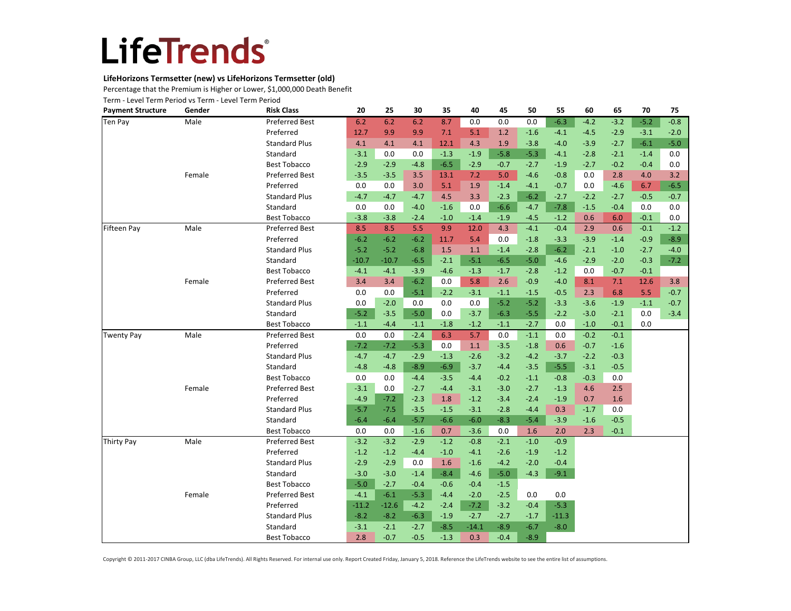### **LifeHorizons Termsetter (new) vs LifeHorizons Termsetter (old)**

Percentage that the Premium is Higher or Lower, \$1,000,000 Death Benefit

Term - Level Term Period vs Term - Level Term Period

| <b>Payment Structure</b> | Gender | <b>Risk Class</b>     | 20      | 25      | 30     | 35     | 40      | 45     | 50     | 55      | 60     | 65     | 70     | 75     |
|--------------------------|--------|-----------------------|---------|---------|--------|--------|---------|--------|--------|---------|--------|--------|--------|--------|
| Ten Pay                  | Male   | <b>Preferred Best</b> | 6.2     | 6.2     | 6.2    | 8.7    | 0.0     | 0.0    | 0.0    | $-6.3$  | $-4.2$ | $-3.2$ | $-5.2$ | $-0.8$ |
|                          |        | Preferred             | 12.7    | 9.9     | 9.9    | 7.1    | 5.1     | 1.2    | $-1.6$ | $-4.1$  | $-4.5$ | $-2.9$ | $-3.1$ | $-2.0$ |
|                          |        | <b>Standard Plus</b>  | 4.1     | 4.1     | 4.1    | 12.1   | 4.3     | 1.9    | $-3.8$ | $-4.0$  | $-3.9$ | $-2.7$ | $-6.1$ | $-5.0$ |
|                          |        | Standard              | $-3.1$  | 0.0     | 0.0    | $-1.3$ | $-1.9$  | $-5.8$ | $-5.3$ | $-4.1$  | $-2.8$ | $-2.1$ | $-1.4$ | 0.0    |
|                          |        | <b>Best Tobacco</b>   | $-2.9$  | $-2.9$  | $-4.8$ | $-6.5$ | $-2.9$  | $-0.7$ | $-2.7$ | $-1.9$  | $-2.7$ | $-0.2$ | $-0.4$ | 0.0    |
|                          | Female | Preferred Best        | $-3.5$  | $-3.5$  | 3.5    | 13.1   | 7.2     | 5.0    | $-4.6$ | $-0.8$  | 0.0    | 2.8    | 4.0    | 3.2    |
|                          |        | Preferred             | 0.0     | 0.0     | 3.0    | 5.1    | 1.9     | $-1.4$ | $-4.1$ | $-0.7$  | 0.0    | $-4.6$ | 6.7    | $-6.5$ |
|                          |        | <b>Standard Plus</b>  | $-4.7$  | $-4.7$  | $-4.7$ | 4.5    | 3.3     | $-2.3$ | $-6.2$ | $-2.7$  | $-2.2$ | $-2.7$ | $-0.5$ | $-0.7$ |
|                          |        | Standard              | 0.0     | 0.0     | $-4.0$ | $-1.6$ | 0.0     | $-6.6$ | $-4.7$ | $-7.8$  | $-1.5$ | $-0.4$ | 0.0    | 0.0    |
|                          |        | <b>Best Tobacco</b>   | $-3.8$  | $-3.8$  | $-2.4$ | $-1.0$ | $-1.4$  | $-1.9$ | $-4.5$ | $-1.2$  | 0.6    | 6.0    | $-0.1$ | 0.0    |
| Fifteen Pay              | Male   | Preferred Best        | 8.5     | 8.5     | 5.5    | 9.9    | 12.0    | 4.3    | $-4.1$ | $-0.4$  | 2.9    | 0.6    | $-0.1$ | $-1.2$ |
|                          |        | Preferred             | $-6.2$  | $-6.2$  | $-6.2$ | 11.7   | 5.4     | 0.0    | $-1.8$ | $-3.3$  | $-3.9$ | $-1.4$ | $-0.9$ | $-8.9$ |
|                          |        | <b>Standard Plus</b>  | $-5.2$  | $-5.2$  | $-6.8$ | 1.5    | 1.1     | $-1.4$ | $-2.8$ | $-6.2$  | $-2.1$ | $-1.0$ | $-2.7$ | $-4.0$ |
|                          |        | Standard              | $-10.7$ | $-10.7$ | $-6.5$ | $-2.1$ | $-5.1$  | $-6.5$ | $-5.0$ | $-4.6$  | $-2.9$ | $-2.0$ | $-0.3$ | $-7.2$ |
|                          |        | <b>Best Tobacco</b>   | $-4.1$  | $-4.1$  | $-3.9$ | $-4.6$ | $-1.3$  | $-1.7$ | $-2.8$ | $-1.2$  | 0.0    | $-0.7$ | $-0.1$ |        |
|                          | Female | Preferred Best        | 3.4     | 3.4     | $-6.2$ | 0.0    | 5.8     | 2.6    | $-0.9$ | $-4.0$  | 8.1    | 7.1    | 12.6   | 3.8    |
|                          |        | Preferred             | 0.0     | 0.0     | $-5.1$ | $-2.2$ | $-3.1$  | $-1.1$ | $-1.5$ | $-0.5$  | 2.3    | 6.8    | 5.5    | $-0.7$ |
|                          |        | <b>Standard Plus</b>  | 0.0     | $-2.0$  | 0.0    | 0.0    | 0.0     | $-5.2$ | $-5.2$ | $-3.3$  | $-3.6$ | $-1.9$ | $-1.1$ | $-0.7$ |
|                          |        | Standard              | $-5.2$  | $-3.5$  | $-5.0$ | 0.0    | $-3.7$  | $-6.3$ | $-5.5$ | $-2.2$  | $-3.0$ | $-2.1$ | 0.0    | $-3.4$ |
|                          |        | <b>Best Tobacco</b>   | $-1.1$  | $-4.4$  | $-1.1$ | $-1.8$ | $-1.2$  | $-1.1$ | $-2.7$ | 0.0     | $-1.0$ | $-0.1$ | 0.0    |        |
| <b>Twenty Pay</b>        | Male   | Preferred Best        | 0.0     | 0.0     | $-2.4$ | 6.3    | 5.7     | 0.0    | $-1.1$ | 0.0     | $-0.2$ | $-0.1$ |        |        |
|                          |        | Preferred             | $-7.2$  | $-7.2$  | $-5.3$ | 0.0    | 1.1     | $-3.5$ | $-1.8$ | 0.6     | $-0.7$ | $-1.6$ |        |        |
|                          |        | <b>Standard Plus</b>  | $-4.7$  | $-4.7$  | $-2.9$ | $-1.3$ | $-2.6$  | $-3.2$ | $-4.2$ | $-3.7$  | $-2.2$ | $-0.3$ |        |        |
|                          |        | Standard              | $-4.8$  | $-4.8$  | $-8.9$ | $-6.9$ | $-3.7$  | $-4.4$ | $-3.5$ | $-5.5$  | $-3.1$ | $-0.5$ |        |        |
|                          |        | <b>Best Tobacco</b>   | 0.0     | 0.0     | $-4.4$ | $-3.5$ | $-4.4$  | $-0.2$ | $-1.1$ | $-0.8$  | $-0.3$ | 0.0    |        |        |
|                          | Female | Preferred Best        | $-3.1$  | 0.0     | $-2.7$ | $-4.4$ | $-3.1$  | $-3.0$ | $-2.7$ | $-1.3$  | 4.6    | 2.5    |        |        |
|                          |        | Preferred             | $-4.9$  | $-7.2$  | $-2.3$ | 1.8    | $-1.2$  | $-3.4$ | $-2.4$ | $-1.9$  | 0.7    | 1.6    |        |        |
|                          |        | <b>Standard Plus</b>  | $-5.7$  | $-7.5$  | $-3.5$ | $-1.5$ | $-3.1$  | $-2.8$ | $-4.4$ | 0.3     | $-1.7$ | 0.0    |        |        |
|                          |        | Standard              | $-6.4$  | $-6.4$  | $-5.7$ | $-6.6$ | $-6.0$  | $-8.3$ | $-5.4$ | $-3.9$  | $-1.6$ | $-0.5$ |        |        |
|                          |        | <b>Best Tobacco</b>   | 0.0     | 0.0     | $-1.6$ | 0.7    | $-3.6$  | 0.0    | 1.6    | 2.0     | 2.3    | $-0.1$ |        |        |
| <b>Thirty Pay</b>        | Male   | Preferred Best        | $-3.2$  | $-3.2$  | $-2.9$ | $-1.2$ | $-0.8$  | $-2.1$ | $-1.0$ | $-0.9$  |        |        |        |        |
|                          |        | Preferred             | $-1.2$  | $-1.2$  | $-4.4$ | $-1.0$ | $-4.1$  | $-2.6$ | $-1.9$ | $-1.2$  |        |        |        |        |
|                          |        | <b>Standard Plus</b>  | $-2.9$  | $-2.9$  | 0.0    | 1.6    | $-1.6$  | $-4.2$ | $-2.0$ | $-0.4$  |        |        |        |        |
|                          |        | Standard              | $-3.0$  | $-3.0$  | $-1.4$ | $-8.4$ | $-4.6$  | $-5.0$ | $-4.3$ | $-9.1$  |        |        |        |        |
|                          |        | <b>Best Tobacco</b>   | $-5.0$  | $-2.7$  | $-0.4$ | $-0.6$ | $-0.4$  | $-1.5$ |        |         |        |        |        |        |
|                          | Female | Preferred Best        | $-4.1$  | $-6.1$  | $-5.3$ | $-4.4$ | $-2.0$  | $-2.5$ | 0.0    | 0.0     |        |        |        |        |
|                          |        | Preferred             | $-11.2$ | $-12.6$ | $-4.2$ | $-2.4$ | $-7.2$  | $-3.2$ | $-0.4$ | $-5.3$  |        |        |        |        |
|                          |        | <b>Standard Plus</b>  | $-8.2$  | $-8.2$  | $-6.3$ | $-1.9$ | $-2.7$  | $-2.7$ | $-1.7$ | $-11.3$ |        |        |        |        |
|                          |        | Standard              | $-3.1$  | $-2.1$  | $-2.7$ | $-8.5$ | $-14.1$ | $-8.9$ | $-6.7$ | $-8.0$  |        |        |        |        |
|                          |        | <b>Best Tobacco</b>   | 2.8     | $-0.7$  | $-0.5$ | $-1.3$ | 0.3     | $-0.4$ | $-8.9$ |         |        |        |        |        |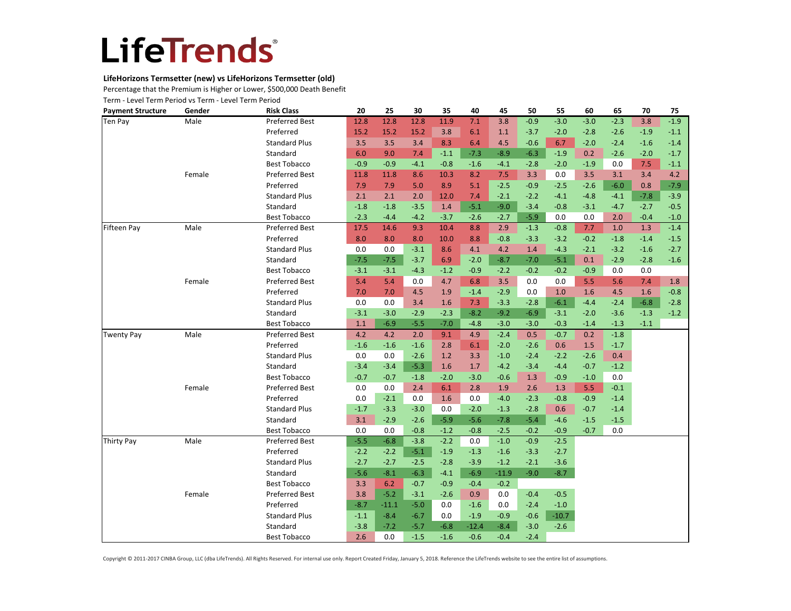### **LifeHorizons Termsetter (new) vs LifeHorizons Termsetter (old)**

Percentage that the Premium is Higher or Lower, \$500,000 Death Benefit

Term - Level Term Period vs Term - Level Term Period

| <b>Payment Structure</b> | Gender | <b>Risk Class</b>     | 20     | 25      | 30     | 35     | 40      | 45      | 50     | 55      | 60     | 65     | 70     | 75     |
|--------------------------|--------|-----------------------|--------|---------|--------|--------|---------|---------|--------|---------|--------|--------|--------|--------|
| Ten Pay                  | Male   | <b>Preferred Best</b> | 12.8   | 12.8    | 12.8   | 11.9   | 7.1     | 3.8     | $-0.9$ | $-3.0$  | $-3.0$ | $-2.3$ | 3.8    | $-1.9$ |
|                          |        | Preferred             | 15.2   | 15.2    | 15.2   | 3.8    | 6.1     | 1.1     | $-3.7$ | $-2.0$  | $-2.8$ | $-2.6$ | $-1.9$ | $-1.1$ |
|                          |        | <b>Standard Plus</b>  | 3.5    | 3.5     | 3.4    | 8.3    | 6.4     | 4.5     | $-0.6$ | 6.7     | $-2.0$ | $-2.4$ | $-1.6$ | $-1.4$ |
|                          |        | Standard              | 6.0    | 9.0     | 7.4    | $-1.1$ | $-7.3$  | $-8.9$  | $-6.3$ | $-1.9$  | 0.2    | $-2.6$ | $-2.0$ | $-1.7$ |
|                          |        | <b>Best Tobacco</b>   | $-0.9$ | $-0.9$  | $-4.1$ | $-0.8$ | $-1.6$  | $-4.1$  | $-2.8$ | $-2.0$  | $-1.9$ | 0.0    | 7.5    | $-1.1$ |
|                          | Female | <b>Preferred Best</b> | 11.8   | 11.8    | 8.6    | 10.3   | 8.2     | 7.5     | 3.3    | 0.0     | 3.5    | 3.1    | 3.4    | 4.2    |
|                          |        | Preferred             | 7.9    | 7.9     | 5.0    | 8.9    | 5.1     | $-2.5$  | $-0.9$ | $-2.5$  | $-2.6$ | $-6.0$ | 0.8    | $-7.9$ |
|                          |        | <b>Standard Plus</b>  | 2.1    | 2.1     | 2.0    | 12.0   | 7.4     | $-2.1$  | $-2.2$ | $-4.1$  | $-4.8$ | $-4.1$ | $-7.8$ | $-3.9$ |
|                          |        | Standard              | $-1.8$ | $-1.8$  | $-3.5$ | 1.4    | $-5.1$  | $-9.0$  | $-3.4$ | $-0.8$  | $-3.1$ | $-4.7$ | $-2.7$ | $-0.5$ |
|                          |        | <b>Best Tobacco</b>   | $-2.3$ | $-4.4$  | $-4.2$ | $-3.7$ | $-2.6$  | $-2.7$  | $-5.9$ | 0.0     | 0.0    | 2.0    | $-0.4$ | $-1.0$ |
| <b>Fifteen Pay</b>       | Male   | <b>Preferred Best</b> | 17.5   | 14.6    | 9.3    | 10.4   | 8.8     | 2.9     | $-1.3$ | $-0.8$  | 7.7    | 1.0    | 1.3    | $-1.4$ |
|                          |        | Preferred             | 8.0    | 8.0     | 8.0    | 10.0   | 8.8     | $-0.8$  | $-3.3$ | $-3.2$  | $-0.2$ | $-1.8$ | $-1.4$ | $-1.5$ |
|                          |        | <b>Standard Plus</b>  | 0.0    | 0.0     | $-3.1$ | 8.6    | 4.1     | 4.2     | 1.4    | $-4.3$  | $-2.1$ | $-3.2$ | $-1.6$ | $-2.7$ |
|                          |        | Standard              | $-7.5$ | $-7.5$  | $-3.7$ | 6.9    | $-2.0$  | $-8.7$  | $-7.0$ | $-5.1$  | 0.1    | $-2.9$ | $-2.8$ | $-1.6$ |
|                          |        | <b>Best Tobacco</b>   | $-3.1$ | $-3.1$  | $-4.3$ | $-1.2$ | $-0.9$  | $-2.2$  | $-0.2$ | $-0.2$  | $-0.9$ | 0.0    | 0.0    |        |
|                          | Female | <b>Preferred Best</b> | 5.4    | 5.4     | 0.0    | 4.7    | 6.8     | 3.5     | 0.0    | 0.0     | 5.5    | 5.6    | 7.4    | 1.8    |
|                          |        | Preferred             | 7.0    | 7.0     | 4.5    | 1.9    | $-1.4$  | $-2.9$  | 0.0    | 1.0     | 1.6    | 4.5    | 1.6    | $-0.8$ |
|                          |        | <b>Standard Plus</b>  | 0.0    | 0.0     | 3.4    | 1.6    | 7.3     | $-3.3$  | $-2.8$ | $-6.1$  | $-4.4$ | $-2.4$ | $-6.8$ | $-2.8$ |
|                          |        | Standard              | $-3.1$ | $-3.0$  | $-2.9$ | $-2.3$ | $-8.2$  | $-9.2$  | $-6.9$ | $-3.1$  | $-2.0$ | $-3.6$ | $-1.3$ | $-1.2$ |
|                          |        | <b>Best Tobacco</b>   | 1.1    | $-6.9$  | $-5.5$ | $-7.0$ | $-4.8$  | $-3.0$  | $-3.0$ | $-0.3$  | $-1.4$ | $-1.3$ | $-1.1$ |        |
| Twenty Pay               | Male   | <b>Preferred Best</b> | 4.2    | 4.2     | 2.0    | 9.1    | 4.9     | $-2.4$  | 0.5    | $-0.7$  | 0.2    | $-1.8$ |        |        |
|                          |        | Preferred             | $-1.6$ | $-1.6$  | $-1.6$ | 2.8    | 6.1     | $-2.0$  | $-2.6$ | 0.6     | 1.5    | $-1.7$ |        |        |
|                          |        | <b>Standard Plus</b>  | 0.0    | 0.0     | $-2.6$ | 1.2    | 3.3     | $-1.0$  | $-2.4$ | $-2.2$  | $-2.6$ | 0.4    |        |        |
|                          |        | Standard              | $-3.4$ | $-3.4$  | $-5.3$ | 1.6    | 1.7     | $-4.2$  | $-3.4$ | $-4.4$  | $-0.7$ | $-1.2$ |        |        |
|                          |        | <b>Best Tobacco</b>   | $-0.7$ | $-0.7$  | $-1.8$ | $-2.0$ | $-3.0$  | $-0.6$  | 1.3    | $-0.9$  | $-1.0$ | 0.0    |        |        |
|                          | Female | <b>Preferred Best</b> | 0.0    | 0.0     | 2.4    | 6.1    | 2.8     | 1.9     | 2.6    | 1.3     | 5.5    | $-0.1$ |        |        |
|                          |        | Preferred             | 0.0    | $-2.1$  | 0.0    | 1.6    | 0.0     | $-4.0$  | $-2.3$ | $-0.8$  | $-0.9$ | $-1.4$ |        |        |
|                          |        | <b>Standard Plus</b>  | $-1.7$ | $-3.3$  | $-3.0$ | 0.0    | $-2.0$  | $-1.3$  | $-2.8$ | 0.6     | $-0.7$ | $-1.4$ |        |        |
|                          |        | Standard              | 3.1    | $-2.9$  | $-2.6$ | $-5.9$ | $-5.6$  | $-7.8$  | $-5.4$ | $-4.6$  | $-1.5$ | $-1.5$ |        |        |
|                          |        | <b>Best Tobacco</b>   | 0.0    | 0.0     | $-0.8$ | $-1.2$ | $-0.8$  | $-2.5$  | $-0.2$ | $-0.9$  | $-0.7$ | 0.0    |        |        |
| <b>Thirty Pay</b>        | Male   | <b>Preferred Best</b> | $-5.5$ | $-6.8$  | $-3.8$ | $-2.2$ | 0.0     | $-1.0$  | $-0.9$ | $-2.5$  |        |        |        |        |
|                          |        | Preferred             | $-2.2$ | $-2.2$  | $-5.1$ | $-1.9$ | $-1.3$  | $-1.6$  | $-3.3$ | $-2.7$  |        |        |        |        |
|                          |        | <b>Standard Plus</b>  | $-2.7$ | $-2.7$  | $-2.5$ | $-2.8$ | $-3.9$  | $-1.2$  | $-2.1$ | $-3.6$  |        |        |        |        |
|                          |        | Standard              | $-5.6$ | $-8.1$  | $-6.3$ | $-4.1$ | $-6.9$  | $-11.9$ | $-9.0$ | $-8.7$  |        |        |        |        |
|                          |        | <b>Best Tobacco</b>   | 3.3    | 6.2     | $-0.7$ | $-0.9$ | $-0.4$  | $-0.2$  |        |         |        |        |        |        |
|                          | Female | <b>Preferred Best</b> | 3.8    | $-5.2$  | $-3.1$ | $-2.6$ | 0.9     | 0.0     | $-0.4$ | $-0.5$  |        |        |        |        |
|                          |        | Preferred             | $-8.7$ | $-11.1$ | $-5.0$ | 0.0    | $-1.6$  | 0.0     | $-2.4$ | $-1.0$  |        |        |        |        |
|                          |        | <b>Standard Plus</b>  | $-1.1$ | $-8.4$  | $-6.7$ | 0.0    | $-1.9$  | $-0.9$  | $-0.6$ | $-10.7$ |        |        |        |        |
|                          |        | Standard              | $-3.8$ | $-7.2$  | $-5.7$ | $-6.8$ | $-12.4$ | $-8.4$  | $-3.0$ | $-2.6$  |        |        |        |        |
|                          |        | <b>Best Tobacco</b>   | 2.6    | 0.0     | $-1.5$ | $-1.6$ | $-0.6$  | $-0.4$  | $-2.4$ |         |        |        |        |        |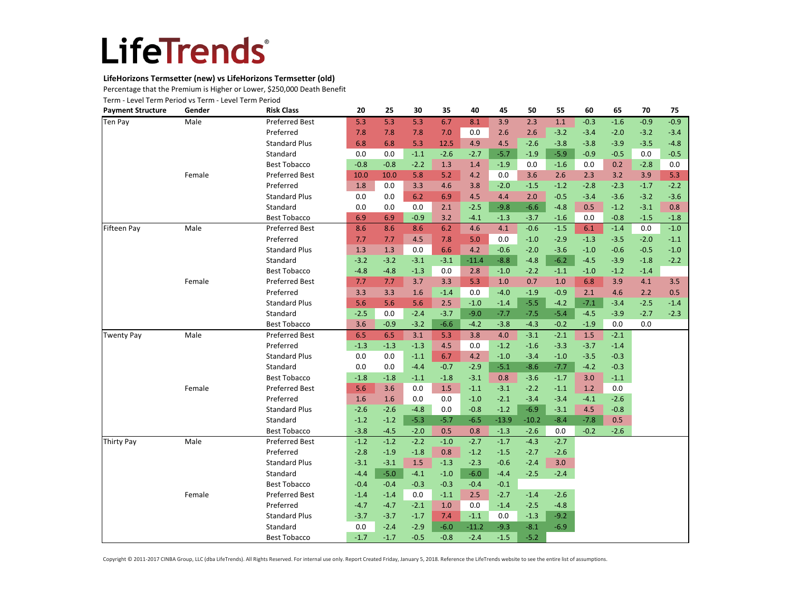### **LifeHorizons Termsetter (new) vs LifeHorizons Termsetter (old)**

Percentage that the Premium is Higher or Lower, \$250,000 Death Benefit

Term - Level Term Period vs Term - Level Term Period

| <b>Payment Structure</b> | Gender | <b>Risk Class</b>     | 20     | 25     | 30     | 35     | 40      | 45      | 50      | 55     | 60     | 65     | 70     | 75     |
|--------------------------|--------|-----------------------|--------|--------|--------|--------|---------|---------|---------|--------|--------|--------|--------|--------|
| Ten Pay                  | Male   | <b>Preferred Best</b> | 5.3    | 5.3    | 5.3    | 6.7    | 8.1     | 3.9     | 2.3     | 1.1    | $-0.3$ | $-1.6$ | $-0.9$ | $-0.9$ |
|                          |        | Preferred             | 7.8    | 7.8    | 7.8    | 7.0    | 0.0     | 2.6     | 2.6     | $-3.2$ | $-3.4$ | $-2.0$ | $-3.2$ | $-3.4$ |
|                          |        | <b>Standard Plus</b>  | 6.8    | 6.8    | 5.3    | 12.5   | 4.9     | 4.5     | $-2.6$  | $-3.8$ | $-3.8$ | $-3.9$ | $-3.5$ | $-4.8$ |
|                          |        | Standard              | 0.0    | 0.0    | $-1.1$ | $-2.6$ | $-2.7$  | $-5.7$  | $-1.9$  | $-5.9$ | $-0.9$ | $-0.5$ | 0.0    | $-0.5$ |
|                          |        | <b>Best Tobacco</b>   | $-0.8$ | $-0.8$ | $-2.2$ | 1.3    | 1.4     | $-1.9$  | 0.0     | $-1.6$ | 0.0    | 0.2    | $-2.8$ | 0.0    |
|                          | Female | Preferred Best        | 10.0   | 10.0   | 5.8    | 5.2    | 4.2     | 0.0     | 3.6     | 2.6    | 2.3    | 3.2    | 3.9    | 5.3    |
|                          |        | Preferred             | 1.8    | 0.0    | 3.3    | 4.6    | 3.8     | $-2.0$  | $-1.5$  | $-1.2$ | $-2.8$ | $-2.3$ | $-1.7$ | $-2.2$ |
|                          |        | <b>Standard Plus</b>  | 0.0    | 0.0    | 6.2    | 6.9    | 4.5     | 4.4     | 2.0     | $-0.5$ | $-3.4$ | $-3.6$ | $-3.2$ | $-3.6$ |
|                          |        | Standard              | 0.0    | 0.0    | 0.0    | 2.1    | $-2.5$  | $-9.8$  | $-6.6$  | $-4.8$ | 0.5    | $-1.2$ | $-3.1$ | 0.8    |
|                          |        | <b>Best Tobacco</b>   | 6.9    | 6.9    | $-0.9$ | 3.2    | $-4.1$  | $-1.3$  | $-3.7$  | $-1.6$ | 0.0    | $-0.8$ | $-1.5$ | $-1.8$ |
| Fifteen Pay              | Male   | Preferred Best        | 8.6    | 8.6    | 8.6    | 6.2    | 4.6     | 4.1     | $-0.6$  | $-1.5$ | 6.1    | $-1.4$ | 0.0    | $-1.0$ |
|                          |        | Preferred             | 7.7    | 7.7    | 4.5    | 7.8    | 5.0     | 0.0     | $-1.0$  | $-2.9$ | $-1.3$ | $-3.5$ | $-2.0$ | $-1.1$ |
|                          |        | <b>Standard Plus</b>  | 1.3    | 1.3    | 0.0    | 6.6    | 4.2     | $-0.6$  | $-2.0$  | $-3.6$ | $-1.0$ | $-0.6$ | $-0.5$ | $-1.0$ |
|                          |        | Standard              | $-3.2$ | $-3.2$ | $-3.1$ | $-3.1$ | $-11.4$ | $-8.8$  | $-4.8$  | $-6.2$ | $-4.5$ | $-3.9$ | $-1.8$ | $-2.2$ |
|                          |        | <b>Best Tobacco</b>   | $-4.8$ | $-4.8$ | $-1.3$ | 0.0    | 2.8     | $-1.0$  | $-2.2$  | $-1.1$ | $-1.0$ | $-1.2$ | $-1.4$ |        |
|                          | Female | Preferred Best        | 7.7    | 7.7    | 3.7    | 3.3    | 5.3     | 1.0     | 0.7     | 1.0    | 6.8    | 3.9    | 4.1    | 3.5    |
|                          |        | Preferred             | 3.3    | 3.3    | 1.6    | $-1.4$ | 0.0     | $-4.0$  | $-1.9$  | $-0.9$ | 2.1    | 4.6    | 2.2    | 0.5    |
|                          |        | <b>Standard Plus</b>  | 5.6    | 5.6    | 5.6    | 2.5    | $-1.0$  | $-1.4$  | $-5.5$  | $-4.2$ | $-7.1$ | $-3.4$ | $-2.5$ | $-1.4$ |
|                          |        | Standard              | $-2.5$ | 0.0    | $-2.4$ | $-3.7$ | $-9.0$  | $-7.7$  | $-7.5$  | $-5.4$ | $-4.5$ | $-3.9$ | $-2.7$ | $-2.3$ |
|                          |        | <b>Best Tobacco</b>   | 3.6    | $-0.9$ | $-3.2$ | $-6.6$ | $-4.2$  | $-3.8$  | $-4.3$  | $-0.2$ | $-1.9$ | 0.0    | 0.0    |        |
| <b>Twenty Pay</b>        | Male   | Preferred Best        | 6.5    | 6.5    | 3.1    | 5.3    | 3.8     | 4.0     | $-3.1$  | $-2.1$ | 1.5    | $-2.1$ |        |        |
|                          |        | Preferred             | $-1.3$ | $-1.3$ | $-1.3$ | 4.5    | 0.0     | $-1.2$  | $-1.6$  | $-3.3$ | $-3.7$ | $-1.4$ |        |        |
|                          |        | <b>Standard Plus</b>  | 0.0    | 0.0    | $-1.1$ | 6.7    | 4.2     | $-1.0$  | $-3.4$  | $-1.0$ | $-3.5$ | $-0.3$ |        |        |
|                          |        | Standard              | 0.0    | 0.0    | $-4.4$ | $-0.7$ | $-2.9$  | $-5.1$  | $-8.6$  | $-7.7$ | $-4.2$ | $-0.3$ |        |        |
|                          |        | <b>Best Tobacco</b>   | $-1.8$ | $-1.8$ | $-1.1$ | $-1.8$ | $-3.1$  | 0.8     | $-3.6$  | $-1.7$ | 3.0    | $-1.1$ |        |        |
|                          | Female | Preferred Best        | 5.6    | 3.6    | 0.0    | 1.5    | $-1.1$  | $-3.1$  | $-2.2$  | $-1.1$ | 1.2    | 0.0    |        |        |
|                          |        | Preferred             | 1.6    | 1.6    | 0.0    | 0.0    | $-1.0$  | $-2.1$  | $-3.4$  | $-3.4$ | $-4.1$ | $-2.6$ |        |        |
|                          |        | <b>Standard Plus</b>  | $-2.6$ | $-2.6$ | $-4.8$ | 0.0    | $-0.8$  | $-1.2$  | $-6.9$  | $-3.1$ | 4.5    | $-0.8$ |        |        |
|                          |        | Standard              | $-1.2$ | $-1.2$ | $-5.3$ | $-5.7$ | $-6.5$  | $-13.9$ | $-10.2$ | $-8.4$ | $-7.8$ | 0.5    |        |        |
|                          |        | <b>Best Tobacco</b>   | $-3.8$ | $-4.5$ | $-2.0$ | 0.5    | 0.8     | $-1.3$  | $-2.6$  | 0.0    | $-0.2$ | $-2.6$ |        |        |
| <b>Thirty Pay</b>        | Male   | Preferred Best        | $-1.2$ | $-1.2$ | $-2.2$ | $-1.0$ | $-2.7$  | $-1.7$  | $-4.3$  | $-2.7$ |        |        |        |        |
|                          |        | Preferred             | $-2.8$ | $-1.9$ | $-1.8$ | 0.8    | $-1.2$  | $-1.5$  | $-2.7$  | $-2.6$ |        |        |        |        |
|                          |        | <b>Standard Plus</b>  | $-3.1$ | $-3.1$ | 1.5    | $-1.3$ | $-2.3$  | $-0.6$  | $-2.4$  | 3.0    |        |        |        |        |
|                          |        | Standard              | $-4.4$ | $-5.0$ | $-4.1$ | $-1.0$ | $-6.0$  | $-4.4$  | $-2.5$  | $-2.4$ |        |        |        |        |
|                          |        | <b>Best Tobacco</b>   | $-0.4$ | $-0.4$ | $-0.3$ | $-0.3$ | $-0.4$  | $-0.1$  |         |        |        |        |        |        |
|                          | Female | Preferred Best        | $-1.4$ | $-1.4$ | 0.0    | $-1.1$ | 2.5     | $-2.7$  | $-1.4$  | $-2.6$ |        |        |        |        |
|                          |        | Preferred             | $-4.7$ | $-4.7$ | $-2.1$ | 1.0    | 0.0     | $-1.4$  | $-2.5$  | $-4.8$ |        |        |        |        |
|                          |        | <b>Standard Plus</b>  | $-3.7$ | $-3.7$ | $-1.7$ | 7.4    | $-1.1$  | 0.0     | $-1.3$  | $-9.2$ |        |        |        |        |
|                          |        | Standard              | 0.0    | $-2.4$ | $-2.9$ | $-6.0$ | $-11.2$ | $-9.3$  | $-8.1$  | $-6.9$ |        |        |        |        |
|                          |        | <b>Best Tobacco</b>   | $-1.7$ | $-1.7$ | $-0.5$ | $-0.8$ | $-2.4$  | $-1.5$  | $-5.2$  |        |        |        |        |        |